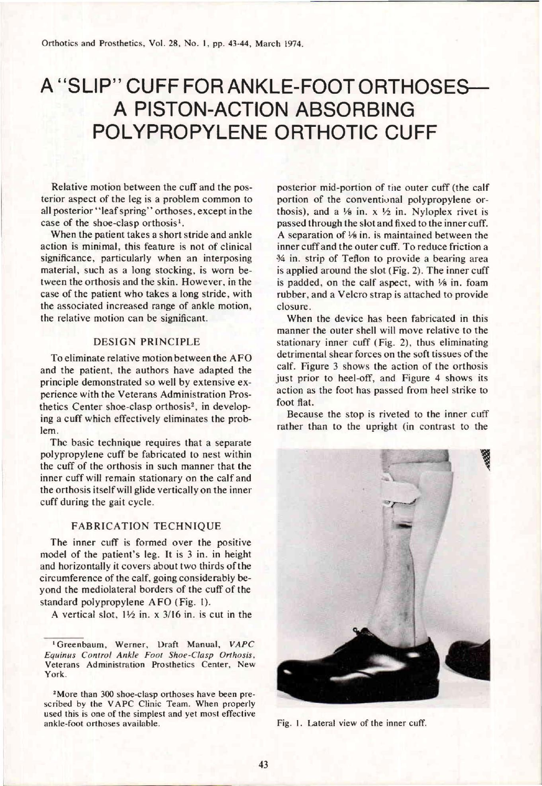## A "SLIP" CUFF FOR ANKLE-FOOT ORTHOSES— A PISTON-ACTION ABSORBING POLYPROPYLENE ORTHOTIC CUFF

Relative motion between the cuff and the posterior aspect of the leg is a problem common to all posterior "leaf spring" orthoses, except in the case of the shoe-clasp orthosis<sup>1</sup>.

When the patient takes a short stride and ankle action is minimal, this feature is not of clinical significance, particularly when an interposing material, such as a long stocking, is worn between the orthosis and the skin. However, in the case of the patient who takes a long stride, with the associated increased range of ankle motion, the relative motion can be significant.

## DESIGN PRINCIPLE

To eliminate relative motion between the AFO and the patient, the authors have adapted the principle demonstrated so well by extensive experience with the Veterans Administration Prosthetics Center shoe-clasp orthosis<sup>2</sup>, in developing a cuff which effectively eliminates the problem.

The basic technique requires that a separate polypropylene cuff be fabricated to nest within the cuff of the orthosis in such manner that the inner cuff will remain stationary on the calf and the orthosis itself will glide vertically on the inner cuff during the gait cycle.

## FABRICATION TECHNIQUE

The inner cuff is formed over the positive model of the patient's leg. It is 3 in. in height and horizontally it covers about two thirds of the circumference of the calf, going considerably beyond the mediolateral borders of the cuff of the standard polypropylene AFO (Fig. 1).

A vertical slot,  $1\frac{1}{2}$  in. x  $3/16$  in. is cut in the

posterior mid-portion of the outer cuff (the calf portion of the conventional polypropylene orthosis), and a  $\frac{1}{8}$  in. x  $\frac{1}{2}$  in. Nyloplex rivet is passed through the slot and fixed to the inner cuff. A separation of  $\frac{1}{8}$  in. is maintained between the inner cuff and the outer cuff. To reduce friction a 3/4 in. strip of Teflon to provide a bearing area is applied around the slot (Fig. 2). The inner cuff is padded, on the calf aspect, with 1/8 in. foam rubber, and a Velcro strap is attached to provide closure.

When the device has been fabricated in this manner the outer shell will move relative to the stationary inner cuff (Fig. 2), thus eliminating detrimental shear forces on the soft tissues of the calf. Figure 3 shows the action of the orthosis just prior to heel-off, and Figure 4 shows its action as the foot has passed from heel strike to foot flat.

Because the stop is riveted to the inner cuff rather than to the upright (in contrast to the



**<sup>1</sup> Greenbaum, Werner, Draft Manual,** *VAPC Equinus Control Ankle Foot Shoe-Clasp Orthosis,*  **Veterans Administration Prosthetics Center, New York.** 

**<sup>2</sup> More than 300 shoe-clasp orthoses have been pre**scribed by the VAPC Clinic Team. When properly **used this is one of the simplest and yet most effective ankle-foot orthoses available. Fig. 1. Lateral view of the inner cuff.**